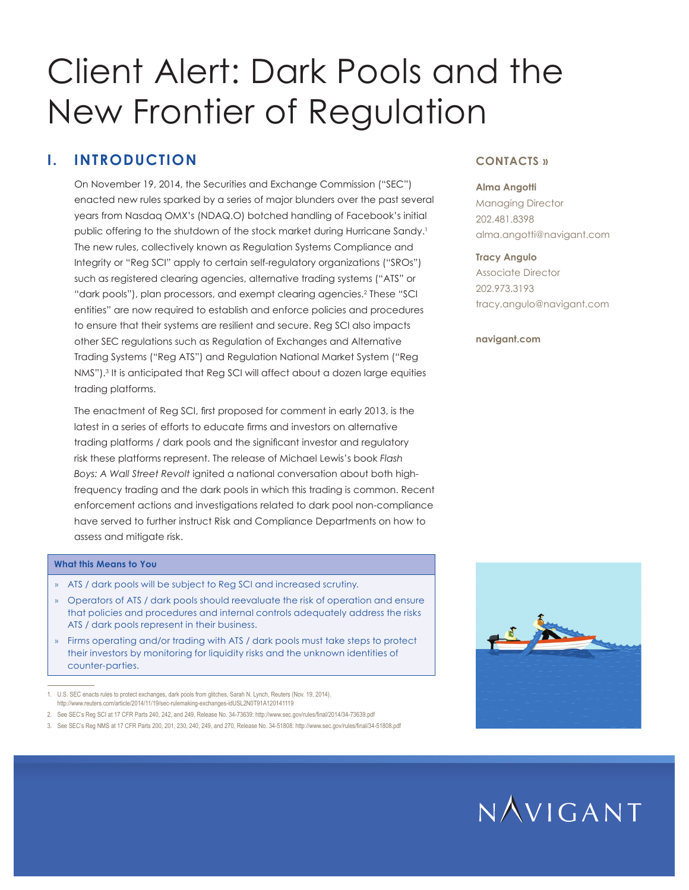# Client Alert: Dark Pools and the New Frontier of Regulation

## **I. INTRODUCTION**

On November 19, 2014, the Securities and Exchange Commission ("SEC") enacted new rules sparked by a series of major blunders over the past several years from Nasdaq OMX's (NDAQ.O) botched handling of Facebook's initial public offering to the shutdown of the stock market during Hurricane Sandy.<sup>1</sup> The new rules, collectively known as Regulation Systems Compliance and Integrity or "Reg SCI" apply to certain self-regulatory organizations ("SROs") such as registered clearing agencies, alternative trading systems ("ATS" or "dark pools"), plan processors, and exempt clearing agencies.<sup>2</sup> These "SCI entities" are now required to establish and enforce policies and procedures to ensure that their systems are resilient and secure. Reg SCI also impacts other SEC regulations such as Regulation of Exchanges and Alternative Trading Systems ("Reg ATS") and Regulation National Market System ("Reg NMS").3 It is anticipated that Reg SCI will affect about a dozen large equities trading platforms.

The enactment of Reg SCI, first proposed for comment in early 2013, is the latest in a series of efforts to educate firms and investors on alternative trading platforms / dark pools and the significant investor and regulatory risk these platforms represent. The release of Michael Lewis's book *Flash Boys: A Wall Street Revolt* ignited a national conversation about both highfrequency trading and the dark pools in which this trading is common. Recent enforcement actions and investigations related to dark pool non-compliance have served to further instruct Risk and Compliance Departments on how to assess and mitigate risk.

## **What this Means to You**

- » ATS / dark pools will be subject to Reg SCI and increased scrutiny.
- » Operators of ATS / dark pools should reevaluate the risk of operation and ensure that policies and procedures and internal controls adequately address the risks ATS / dark pools represent in their business.
- » Firms operating and/or trading with ATS / dark pools must take steps to protect their investors by monitoring for liquidity risks and the unknown identities of counter-parties.

1. U.S. SEC enacts rules to protect exchanges, dark pools from glitches, Sarah N. Lynch, Reuters (Nov. 19, 2014). http://www.reuters.com/article/2014/11/19/sec-rulemaking-exchanges-idUSL2N0T91A120141119

- 2. See SEC's Reg SCI at 17 CFR Parts 240, 242, and 249, Release No. 34-73639: http://www.sec.gov/rules/final/2014/34-73639.pdf
- 3. See SEC's Reg NMS at 17 CFR Parts 200, 201, 230, 240, 249, and 270, Release No. 34-51808: http://www.sec.gov/rules/final/34-51808.pdf

## **CONTACTS »**

#### **Alma Angotti**

Managing Director 202.481.8398 alma.angotti@navigant.com

#### **Tracy Angulo**

Associate Director 202.973.3193 tracy.angulo@navigant.com

#### **navigant.com**



## $NAVIGANT$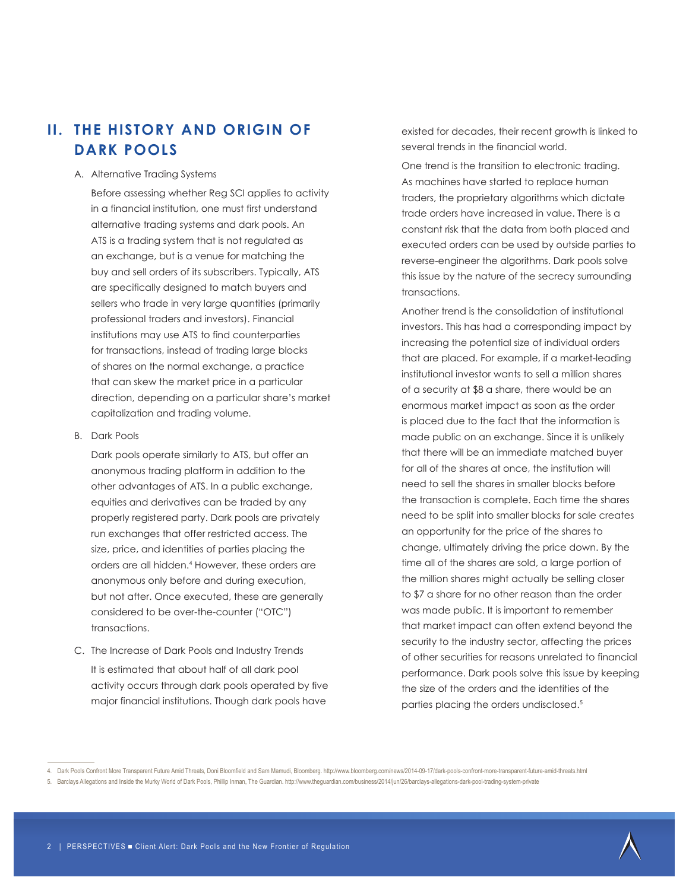## **II. THE HISTORY AND ORIGIN OF DARK POOLS**

#### A. Alternative Trading Systems

Before assessing whether Reg SCI applies to activity in a financial institution, one must first understand alternative trading systems and dark pools. An ATS is a trading system that is not regulated as an exchange, but is a venue for matching the buy and sell orders of its subscribers. Typically, ATS are specifically designed to match buyers and sellers who trade in very large quantities (primarily professional traders and investors). Financial institutions may use ATS to find counterparties for transactions, instead of trading large blocks of shares on the normal exchange, a practice that can skew the market price in a particular direction, depending on a particular share's market capitalization and trading volume.

B. Dark Pools

Dark pools operate similarly to ATS, but offer an anonymous trading platform in addition to the other advantages of ATS. In a public exchange, equities and derivatives can be traded by any properly registered party. Dark pools are privately run exchanges that offer restricted access. The size, price, and identities of parties placing the orders are all hidden.4 However, these orders are anonymous only before and during execution, but not after. Once executed, these are generally considered to be over-the-counter ("OTC") transactions.

C. The Increase of Dark Pools and Industry Trends It is estimated that about half of all dark pool activity occurs through dark pools operated by five major financial institutions. Though dark pools have

existed for decades, their recent growth is linked to several trends in the financial world.

One trend is the transition to electronic trading. As machines have started to replace human traders, the proprietary algorithms which dictate trade orders have increased in value. There is a constant risk that the data from both placed and executed orders can be used by outside parties to reverse-engineer the algorithms. Dark pools solve this issue by the nature of the secrecy surrounding transactions.

Another trend is the consolidation of institutional investors. This has had a corresponding impact by increasing the potential size of individual orders that are placed. For example, if a market-leading institutional investor wants to sell a million shares of a security at \$8 a share, there would be an enormous market impact as soon as the order is placed due to the fact that the information is made public on an exchange. Since it is unlikely that there will be an immediate matched buyer for all of the shares at once, the institution will need to sell the shares in smaller blocks before the transaction is complete. Each time the shares need to be split into smaller blocks for sale creates an opportunity for the price of the shares to change, ultimately driving the price down. By the time all of the shares are sold, a large portion of the million shares might actually be selling closer to \$7 a share for no other reason than the order was made public. It is important to remember that market impact can often extend beyond the security to the industry sector, affecting the prices of other securities for reasons unrelated to financial performance. Dark pools solve this issue by keeping the size of the orders and the identities of the parties placing the orders undisclosed.<sup>5</sup>

<sup>4.</sup> Dark Pools Confront More Transparent Future Amid Threats, Doni Bloomfield and Sam Mamudi, Bloomberg. http://www.bloomberg.com/news/2014-09-17/dark-pools-confront-more-transparent-future-amid-threats.html

<sup>5.</sup> Barclays Allegations and Inside the Murky World of Dark Pools, Phillip Inman, The Guardian. http://www.theguardian.com/business/2014/jun/26/barclays-allegations-dark-pool-trading-system-private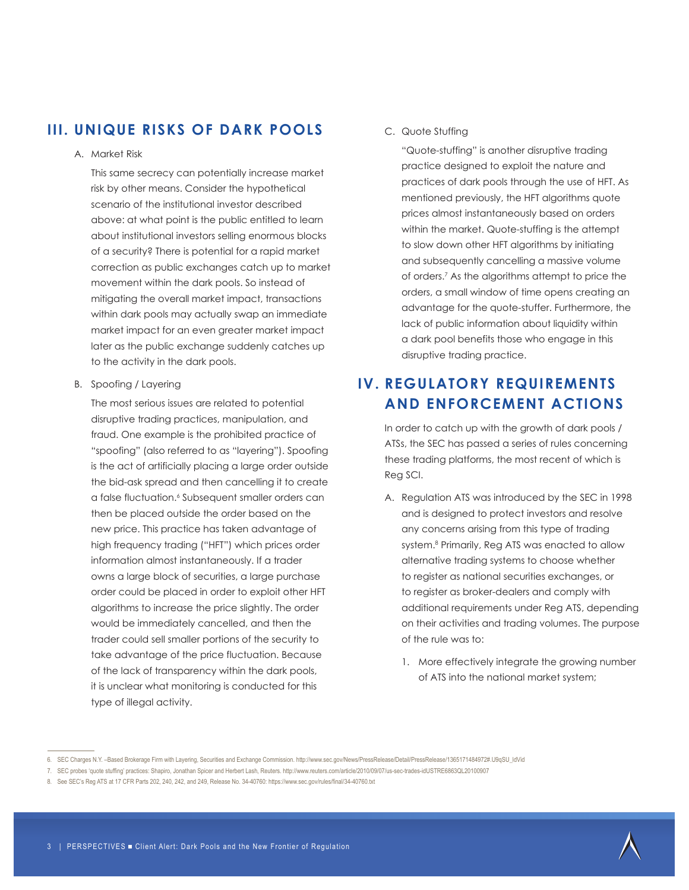## **III. UNIQUE RISKS OF DARK POOLS**

### A. Market Risk

This same secrecy can potentially increase market risk by other means. Consider the hypothetical scenario of the institutional investor described above: at what point is the public entitled to learn about institutional investors selling enormous blocks of a security? There is potential for a rapid market correction as public exchanges catch up to market movement within the dark pools. So instead of mitigating the overall market impact, transactions within dark pools may actually swap an immediate market impact for an even greater market impact later as the public exchange suddenly catches up to the activity in the dark pools.

B. Spoofing / Layering

The most serious issues are related to potential disruptive trading practices, manipulation, and fraud. One example is the prohibited practice of "spoofing" (also referred to as "layering"). Spoofing is the act of artificially placing a large order outside the bid-ask spread and then cancelling it to create a false fluctuation.6 Subsequent smaller orders can then be placed outside the order based on the new price. This practice has taken advantage of high frequency trading ("HFT") which prices order information almost instantaneously. If a trader owns a large block of securities, a large purchase order could be placed in order to exploit other HFT algorithms to increase the price slightly. The order would be immediately cancelled, and then the trader could sell smaller portions of the security to take advantage of the price fluctuation. Because of the lack of transparency within the dark pools, it is unclear what monitoring is conducted for this type of illegal activity.

### C. Quote Stuffing

"Quote-stuffing" is another disruptive trading practice designed to exploit the nature and practices of dark pools through the use of HFT. As mentioned previously, the HFT algorithms quote prices almost instantaneously based on orders within the market. Quote-stuffing is the attempt to slow down other HFT algorithms by initiating and subsequently cancelling a massive volume of orders.7 As the algorithms attempt to price the orders, a small window of time opens creating an advantage for the quote-stuffer. Furthermore, the lack of public information about liquidity within a dark pool benefits those who engage in this disruptive trading practice.

## **IV. REGULATORY REQUIREMENTS AND ENFORCEMENT ACTIONS**

In order to catch up with the growth of dark pools / ATSs, the SEC has passed a series of rules concerning these trading platforms, the most recent of which is Reg SCI.

- A. Regulation ATS was introduced by the SEC in 1998 and is designed to protect investors and resolve any concerns arising from this type of trading system.8 Primarily, Reg ATS was enacted to allow alternative trading systems to choose whether to register as national securities exchanges, or to register as broker-dealers and comply with additional requirements under Reg ATS, depending on their activities and trading volumes. The purpose of the rule was to:
	- 1. More effectively integrate the growing number of ATS into the national market system;

<sup>6.</sup> SEC Charges N.Y. –Based Brokerage Firm with Layering, Securities and Exchange Commission. http://www.sec.gov/News/PressRelease/Detail/PressRelease/1365171484972#.U9qSU\_ldVid

<sup>7.</sup> SEC probes 'quote stuffing' practices: Shapiro, Jonathan Spicer and Herbert Lash, Reuters. http://www.reuters.com/article/2010/09/07/us-sec-trades-idUSTRE6863QL20100907

<sup>8.</sup> See SEC's Reg ATS at 17 CFR Parts 202, 240, 242, and 249, Release No. 34-40760: https://www.sec.gov/rules/final/34-40760.txt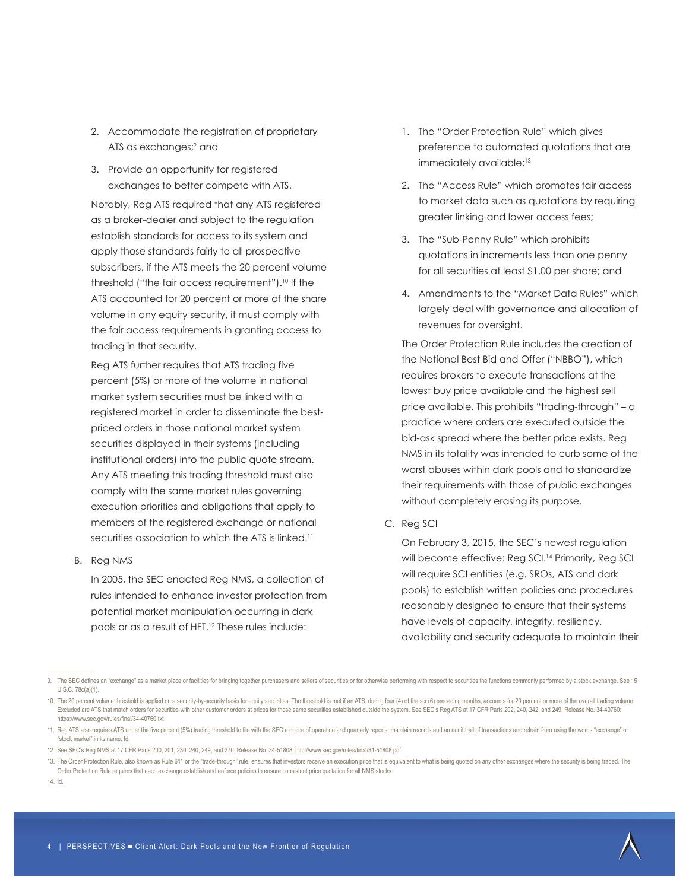- 2. Accommodate the registration of proprietary ATS as exchanges;<sup>9</sup> and
- 3. Provide an opportunity for registered exchanges to better compete with ATS.

Notably, Reg ATS required that any ATS registered as a broker-dealer and subject to the regulation establish standards for access to its system and apply those standards fairly to all prospective subscribers, if the ATS meets the 20 percent volume threshold ("the fair access requirement").<sup>10</sup> If the ATS accounted for 20 percent or more of the share volume in any equity security, it must comply with the fair access requirements in granting access to trading in that security.

Reg ATS further requires that ATS trading five percent (5%) or more of the volume in national market system securities must be linked with a registered market in order to disseminate the bestpriced orders in those national market system securities displayed in their systems (including institutional orders) into the public quote stream. Any ATS meeting this trading threshold must also comply with the same market rules governing execution priorities and obligations that apply to members of the registered exchange or national securities association to which the ATS is linked.<sup>11</sup>

B. Reg NMS

In 2005, the SEC enacted Reg NMS, a collection of rules intended to enhance investor protection from potential market manipulation occurring in dark pools or as a result of HFT.12 These rules include:

- 1. The "Order Protection Rule" which gives preference to automated quotations that are immediately available;<sup>13</sup>
- 2. The "Access Rule" which promotes fair access to market data such as quotations by requiring greater linking and lower access fees;
- 3. The "Sub-Penny Rule" which prohibits quotations in increments less than one penny for all securities at least \$1.00 per share; and
- 4. Amendments to the "Market Data Rules" which largely deal with governance and allocation of revenues for oversight.

The Order Protection Rule includes the creation of the National Best Bid and Offer ("NBBO"), which requires brokers to execute transactions at the lowest buy price available and the highest sell price available. This prohibits "trading-through" – a practice where orders are executed outside the bid-ask spread where the better price exists. Reg NMS in its totality was intended to curb some of the worst abuses within dark pools and to standardize their requirements with those of public exchanges without completely erasing its purpose.

C. Reg SCI

On February 3, 2015, the SEC's newest regulation will become effective: Reg SCI.<sup>14</sup> Primarily, Reg SCI will require SCI entities (e.g. SROs, ATS and dark pools) to establish written policies and procedures reasonably designed to ensure that their systems have levels of capacity, integrity, resiliency, availability and security adequate to maintain their

14. Id.

<sup>9.</sup> The SEC defines an "exchange" as a market place or facilities for bringing together purchasers and sellers of securities or for otherwise performing with respect to securities the functions commonly performed by a stock U.S.C. 78c(a)(1).

<sup>10.</sup> The 20 percent volume threshold is applied on a security-by-security basis for equity securities. The threshold is met if an ATS, during four (4) of the six (6) preceding months, accounts for 20 percent or more of the Excluded are ATS that match orders for securities with other customer orders at prices for those same securities established outside the system. See SEC's Reg ATS at 17 CFR Parts 202, 240, 242, and 249, Release No. 34-40760: https://www.sec.gov/rules/final/34-40760.txt

<sup>11.</sup> Reg ATS also requires ATS under the five percent (5%) trading threshold to file with the SEC a notice of operation and quarterly reports, maintain records and an audit trail of transactions and refrain from using the w "stock market" in its name. Id.

<sup>12.</sup> See SEC's Reg NMS at 17 CFR Parts 200, 201, 230, 240, 249, and 270, Release No. 34-51808: http://www.sec.gov/rules/final/34-51808.pdf

<sup>13.</sup> The Order Protection Rule, also known as Rule 611 or the "trade-through" rule, ensures that investors receive an execution price that is equivalent to what is being quoted on any other exchanges where the security is b Order Protection Rule requires that each exchange establish and enforce policies to ensure consistent price quotation for all NMS stocks.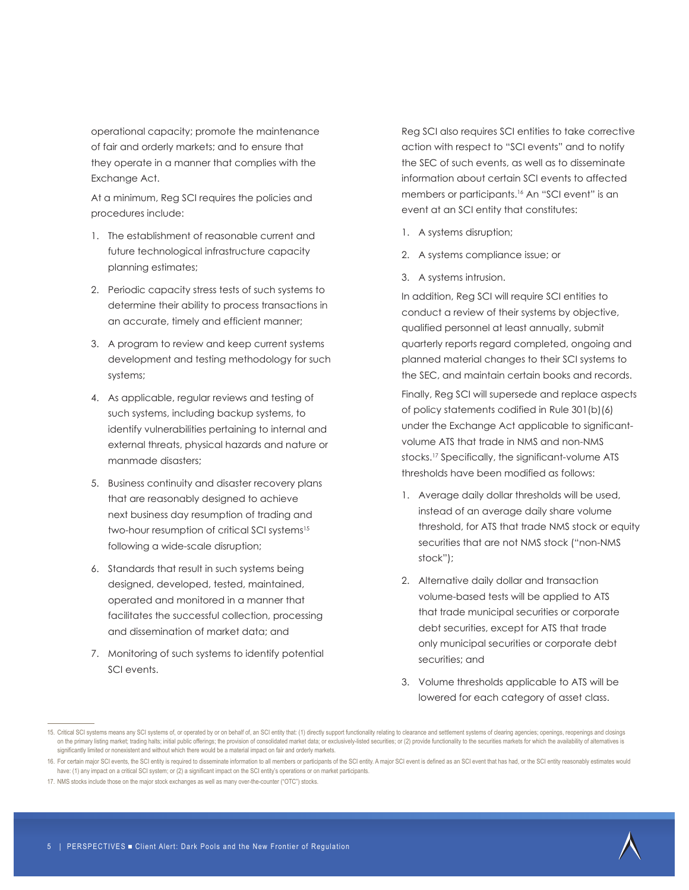operational capacity; promote the maintenance of fair and orderly markets; and to ensure that they operate in a manner that complies with the Exchange Act.

At a minimum, Reg SCI requires the policies and procedures include:

- 1. The establishment of reasonable current and future technological infrastructure capacity planning estimates;
- 2. Periodic capacity stress tests of such systems to determine their ability to process transactions in an accurate, timely and efficient manner;
- 3. A program to review and keep current systems development and testing methodology for such systems;
- 4. As applicable, regular reviews and testing of such systems, including backup systems, to identify vulnerabilities pertaining to internal and external threats, physical hazards and nature or manmade disasters;
- 5. Business continuity and disaster recovery plans that are reasonably designed to achieve next business day resumption of trading and two-hour resumption of critical SCI systems<sup>15</sup> following a wide-scale disruption;
- 6. Standards that result in such systems being designed, developed, tested, maintained, operated and monitored in a manner that facilitates the successful collection, processing and dissemination of market data; and
- 7. Monitoring of such systems to identify potential SCI events.

Reg SCI also requires SCI entities to take corrective action with respect to "SCI events" and to notify the SEC of such events, as well as to disseminate information about certain SCI events to affected members or participants.16 An "SCI event" is an event at an SCI entity that constitutes:

- 1. A systems disruption;
- 2. A systems compliance issue; or
- 3. A systems intrusion.

In addition, Reg SCI will require SCI entities to conduct a review of their systems by objective, qualified personnel at least annually, submit quarterly reports regard completed, ongoing and planned material changes to their SCI systems to the SEC, and maintain certain books and records.

Finally, Reg SCI will supersede and replace aspects of policy statements codified in Rule 301(b)(6) under the Exchange Act applicable to significantvolume ATS that trade in NMS and non-NMS stocks.17 Specifically, the significant-volume ATS thresholds have been modified as follows:

- 1. Average daily dollar thresholds will be used, instead of an average daily share volume threshold, for ATS that trade NMS stock or equity securities that are not NMS stock ("non-NMS stock");
- 2. Alternative daily dollar and transaction volume-based tests will be applied to ATS that trade municipal securities or corporate debt securities, except for ATS that trade only municipal securities or corporate debt securities; and
- 3. Volume thresholds applicable to ATS will be lowered for each category of asset class.



<sup>15.</sup> Critical SCI systems means any SCI systems of, or operated by or on behalf of, an SCI entity that: (1) directly support functionality relating to clearance and settlement systems of clearing agencies; openings, reopeni on the primary listing market; trading halts; initial public offerings; the provision of consolidated market data; or exclusively-listed securities; or (2) provide functionality to the securities markets for which the avai significantly limited or nonexistent and without which there would be a material impact on fair and orderly markets.

<sup>16.</sup> For certain major SCI events, the SCI entity is required to disseminate information to all members or participants of the SCI entity. A major SCI event is defined as an SCI event that has had, or the SCI entity reasona have: (1) any impact on a critical SCI system; or (2) a significant impact on the SCI entity's operations or on market participants.

<sup>17.</sup> NMS stocks include those on the major stock exchanges as well as many over-the-counter ("OTC") stocks.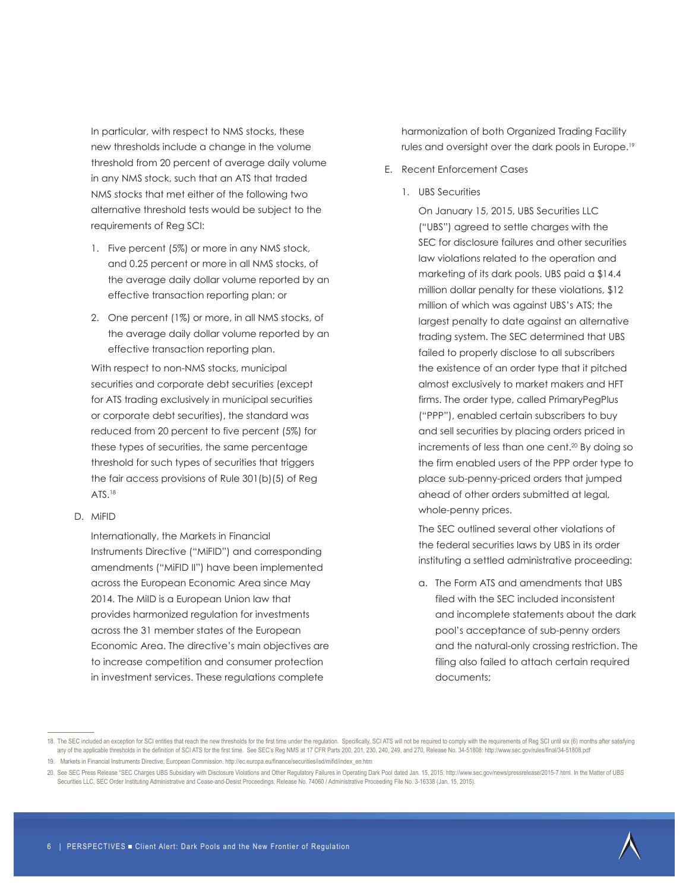In particular, with respect to NMS stocks, these new thresholds include a change in the volume threshold from 20 percent of average daily volume in any NMS stock, such that an ATS that traded NMS stocks that met either of the following two alternative threshold tests would be subject to the requirements of Reg SCI:

- 1. Five percent (5%) or more in any NMS stock, and 0.25 percent or more in all NMS stocks, of the average daily dollar volume reported by an effective transaction reporting plan; or
- 2. One percent (1%) or more, in all NMS stocks, of the average daily dollar volume reported by an effective transaction reporting plan.

With respect to non-NMS stocks, municipal securities and corporate debt securities (except for ATS trading exclusively in municipal securities or corporate debt securities), the standard was reduced from 20 percent to five percent (5%) for these types of securities, the same percentage threshold for such types of securities that triggers the fair access provisions of Rule 301(b)(5) of Reg ATS.<sup>18</sup>

D. MiFID

Internationally, the Markets in Financial Instruments Directive ("MiFID") and corresponding amendments ("MiFID II") have been implemented across the European Economic Area since May 2014. The MiID is a European Union law that provides harmonized regulation for investments across the 31 member states of the European Economic Area. The directive's main objectives are to increase competition and consumer protection in investment services. These regulations complete

harmonization of both Organized Trading Facility rules and oversight over the dark pools in Europe.19

- E. Recent Enforcement Cases
	- 1. UBS Securities

On January 15, 2015, UBS Securities LLC ("UBS") agreed to settle charges with the SEC for disclosure failures and other securities law violations related to the operation and marketing of its dark pools. UBS paid a \$14.4 million dollar penalty for these violations, \$12 million of which was against UBS's ATS; the largest penalty to date against an alternative trading system. The SEC determined that UBS failed to properly disclose to all subscribers the existence of an order type that it pitched almost exclusively to market makers and HFT firms. The order type, called PrimaryPegPlus ("PPP"), enabled certain subscribers to buy and sell securities by placing orders priced in increments of less than one cent.20 By doing so the firm enabled users of the PPP order type to place sub-penny-priced orders that jumped ahead of other orders submitted at legal, whole-penny prices.

The SEC outlined several other violations of the federal securities laws by UBS in its order instituting a settled administrative proceeding:

a. The Form ATS and amendments that UBS filed with the SEC included inconsistent and incomplete statements about the dark pool's acceptance of sub-penny orders and the natural-only crossing restriction. The filing also failed to attach certain required documents;

<sup>18.</sup> The SEC included an exception for SCI entities that reach the new thresholds for the first time under the regulation. Specifically, SCI ATS will not be required to comply with the requirements of Reg SCI until six (6) any of the applicable thresholds in the definition of SCI ATS for the first time. See SEC's Reg NMS at 17 CFR Parts 200, 201, 230, 240, 249, and 270, Release No. 34-51808: http://www.sec.gov/rules/final/34-51808.pdf

<sup>19.</sup> Markets in Financial Instruments Directive, European Commission. http://ec.europa.eu/finance/securities/isd/mifid/index\_en.htm

<sup>20.</sup> See SEC Press Release "SEC Charges UBS Subsidiary with Disclosure Violations and Other Regulatory Failures in Operating Dark Pool dated Jan. 15, 2015; http://www.sec.gov/news/pressrelease/2015-7.html. In the Matter of Securities LLC, SEC Order Instituting Administrative and Cease-and-Desist Proceedings, Release No. 74060 / Administrative Proceeding File No. 3-16338 (Jan. 15, 2015).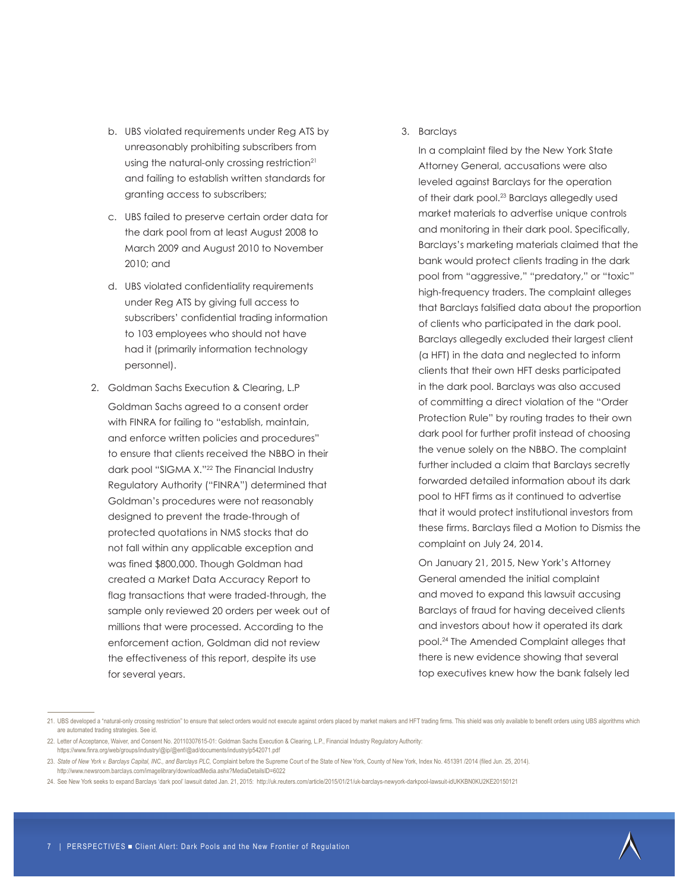- b. UBS violated requirements under Reg ATS by unreasonably prohibiting subscribers from using the natural-only crossing restriction<sup>21</sup> and failing to establish written standards for granting access to subscribers;
- c. UBS failed to preserve certain order data for the dark pool from at least August 2008 to March 2009 and August 2010 to November 2010; and
- d. UBS violated confidentiality requirements under Reg ATS by giving full access to subscribers' confidential trading information to 103 employees who should not have had it (primarily information technology personnel).
- 2. Goldman Sachs Execution & Clearing, L.P Goldman Sachs agreed to a consent order with FINRA for failing to "establish, maintain, and enforce written policies and procedures" to ensure that clients received the NBBO in their dark pool "SIGMA X."<sup>22</sup> The Financial Industry Regulatory Authority ("FINRA") determined that Goldman's procedures were not reasonably designed to prevent the trade-through of protected quotations in NMS stocks that do not fall within any applicable exception and was fined \$800,000. Though Goldman had created a Market Data Accuracy Report to flag transactions that were traded-through, the sample only reviewed 20 orders per week out of millions that were processed. According to the enforcement action, Goldman did not review the effectiveness of this report, despite its use for several years.

#### 3. Barclays

In a complaint filed by the New York State Attorney General, accusations were also leveled against Barclays for the operation of their dark pool.23 Barclays allegedly used market materials to advertise unique controls and monitoring in their dark pool. Specifically, Barclays's marketing materials claimed that the bank would protect clients trading in the dark pool from "aggressive," "predatory," or "toxic" high-frequency traders. The complaint alleges that Barclays falsified data about the proportion of clients who participated in the dark pool. Barclays allegedly excluded their largest client (a HFT) in the data and neglected to inform clients that their own HFT desks participated in the dark pool. Barclays was also accused of committing a direct violation of the "Order Protection Rule" by routing trades to their own dark pool for further profit instead of choosing the venue solely on the NBBO. The complaint further included a claim that Barclays secretly forwarded detailed information about its dark pool to HFT firms as it continued to advertise that it would protect institutional investors from these firms. Barclays filed a Motion to Dismiss the complaint on July 24, 2014.

On January 21, 2015, New York's Attorney General amended the initial complaint and moved to expand this lawsuit accusing Barclays of fraud for having deceived clients and investors about how it operated its dark pool.24 The Amended Complaint alleges that there is new evidence showing that several top executives knew how the bank falsely led



<sup>21.</sup> UBS developed a "natural-only crossing restriction" to ensure that select orders would not execute against orders placed by market makers and HFT trading firms. This shield was only available to benefit orders using UB are automated trading strategies. See id.

<sup>22.</sup> Letter of Acceptance, Waiver, and Consent No. 20110307615-01: Goldman Sachs Execution & Clearing, L.P., Financial Industry Regulatory Authority: https://www.finra.org/web/groups/industry/@ip/@enf/@ad/documents/industry/p542071.pdf

<sup>23.</sup> State of New York v. Barclays Capital, INC., and Barclays PLC, Complaint before the Supreme Court of the State of New York, County of New York, Index No. 451391 /2014 (filed Jun. 25, 2014). http://www.newsroom.barclays.com/imagelibrary/downloadMedia.ashx?MediaDetailsID=6022

<sup>24.</sup> See New York seeks to expand Barclays 'dark pool' lawsuit dated Jan. 21, 2015: http://uk.reuters.com/article/2015/01/21/uk-barclays-newyork-darkpool-lawsuit-idUKKBN0KU2KE20150121